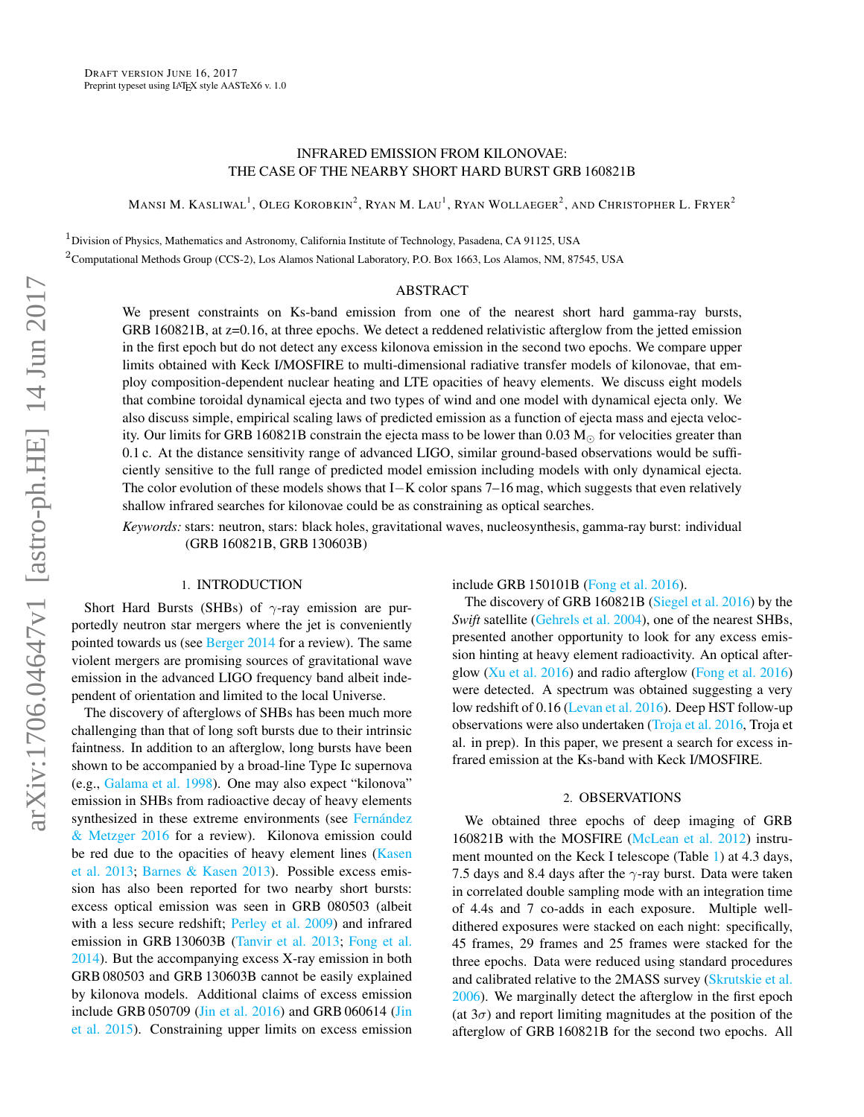# INFRARED EMISSION FROM KILONOVAE: THE CASE OF THE NEARBY SHORT HARD BURST GRB 160821B

Mansi M. Kasliwal<sup>1</sup>, Oleg Korobkin<sup>2</sup>, Ryan M. Lau<sup>1</sup>, Ryan Wollaeger<sup>2</sup>, and Christopher L. Fryer<sup>2</sup>

 $1$ Division of Physics, Mathematics and Astronomy, California Institute of Technology, Pasadena, CA 91125, USA <sup>2</sup>Computational Methods Group (CCS-2), Los Alamos National Laboratory, P.O. Box 1663, Los Alamos, NM, 87545, USA

#### ABSTRACT

We present constraints on Ks-band emission from one of the nearest short hard gamma-ray bursts, GRB 160821B, at z=0.16, at three epochs. We detect a reddened relativistic afterglow from the jetted emission in the first epoch but do not detect any excess kilonova emission in the second two epochs. We compare upper limits obtained with Keck I/MOSFIRE to multi-dimensional radiative transfer models of kilonovae, that employ composition-dependent nuclear heating and LTE opacities of heavy elements. We discuss eight models that combine toroidal dynamical ejecta and two types of wind and one model with dynamical ejecta only. We also discuss simple, empirical scaling laws of predicted emission as a function of ejecta mass and ejecta velocity. Our limits for GRB 160821B constrain the ejecta mass to be lower than 0.03  $M_{\odot}$  for velocities greater than 0.1 c. At the distance sensitivity range of advanced LIGO, similar ground-based observations would be sufficiently sensitive to the full range of predicted model emission including models with only dynamical ejecta. The color evolution of these models shows that I−K color spans 7–16 mag, which suggests that even relatively shallow infrared searches for kilonovae could be as constraining as optical searches.

*Keywords:* stars: neutron, stars: black holes, gravitational waves, nucleosynthesis, gamma-ray burst: individual (GRB 160821B, GRB 130603B)

### 1. INTRODUCTION

Short Hard Bursts (SHBs) of  $\gamma$ -ray emission are purportedly neutron star mergers where the jet is conveniently pointed towards us (see [Berger](#page-4-0) [2014](#page-4-0) for a review). The same violent mergers are promising sources of gravitational wave emission in the advanced LIGO frequency band albeit independent of orientation and limited to the local Universe.

The discovery of afterglows of SHBs has been much more challenging than that of long soft bursts due to their intrinsic faintness. In addition to an afterglow, long bursts have been shown to be accompanied by a broad-line Type Ic supernova (e.g., [Galama et al.](#page-5-0) [1998\)](#page-5-0). One may also expect "kilonova" emission in SHBs from radioactive decay of heavy elements synthesized in these extreme environments (see Fernández [& Metzger](#page-4-1) [2016](#page-4-1) for a review). Kilonova emission could be red due to the opacities of heavy element lines [\(Kasen](#page-5-1) [et al.](#page-5-1) [2013;](#page-5-1) [Barnes & Kasen](#page-4-2) [2013\)](#page-4-2). Possible excess emission has also been reported for two nearby short bursts: excess optical emission was seen in GRB 080503 (albeit with a less secure redshift; [Perley et al.](#page-5-2) [2009\)](#page-5-2) and infrared emission in GRB 130603B [\(Tanvir et al.](#page-5-3) [2013;](#page-5-3) [Fong et al.](#page-5-4) [2014\)](#page-5-4). But the accompanying excess X-ray emission in both GRB 080503 and GRB 130603B cannot be easily explained by kilonova models. Additional claims of excess emission include GRB 050709 [\(Jin et al.](#page-5-5) [2016\)](#page-5-5) and GRB 060614 [\(Jin](#page-5-6) [et al.](#page-5-6) [2015\)](#page-5-6). Constraining upper limits on excess emission include GRB 150101B [\(Fong et al.](#page-4-3) [2016\)](#page-4-3).

The discovery of GRB 160821B [\(Siegel et al.](#page-5-7) [2016\)](#page-5-7) by the *Swift* satellite [\(Gehrels et al.](#page-5-8) [2004\)](#page-5-8), one of the nearest SHBs, presented another opportunity to look for any excess emission hinting at heavy element radioactivity. An optical afterglow [\(Xu et al.](#page-5-9) [2016\)](#page-5-9) and radio afterglow [\(Fong et al.](#page-4-4) [2016\)](#page-4-4) were detected. A spectrum was obtained suggesting a very low redshift of 0.16 [\(Levan et al.](#page-5-10) [2016\)](#page-5-10). Deep HST follow-up observations were also undertaken [\(Troja et al.](#page-5-11) [2016,](#page-5-11) Troja et al. in prep). In this paper, we present a search for excess infrared emission at the Ks-band with Keck I/MOSFIRE.

# 2. OBSERVATIONS

We obtained three epochs of deep imaging of GRB 160821B with the MOSFIRE [\(McLean et al.](#page-5-12) [2012\)](#page-5-12) instrument mounted on the Keck I telescope (Table [1\)](#page-1-0) at 4.3 days, 7.5 days and 8.4 days after the  $\gamma$ -ray burst. Data were taken in correlated double sampling mode with an integration time of 4.4s and 7 co-adds in each exposure. Multiple welldithered exposures were stacked on each night: specifically, 45 frames, 29 frames and 25 frames were stacked for the three epochs. Data were reduced using standard procedures and calibrated relative to the 2MASS survey [\(Skrutskie et al.](#page-5-13) [2006\)](#page-5-13). We marginally detect the afterglow in the first epoch (at  $3\sigma$ ) and report limiting magnitudes at the position of the afterglow of GRB 160821B for the second two epochs. All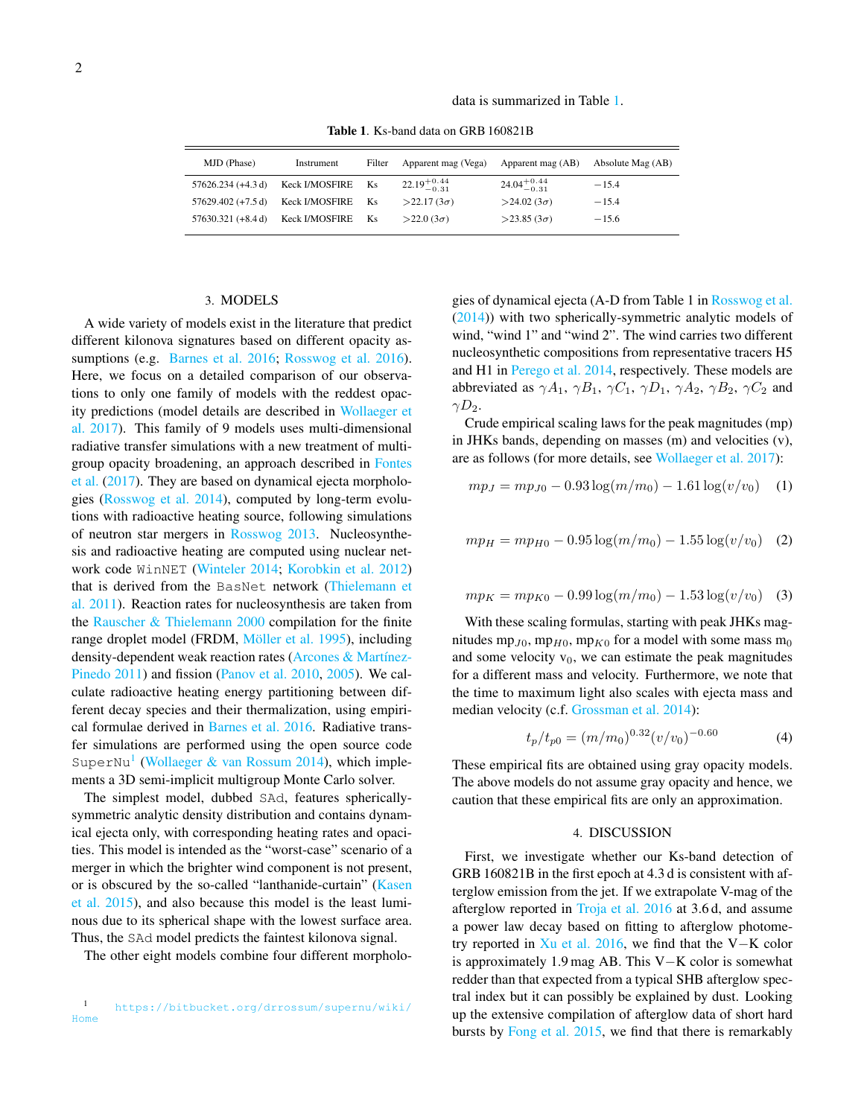data is summarized in Table [1.](#page-1-0)

Table 1. Ks-band data on GRB 160821B

<span id="page-1-0"></span>

| MJD (Phase)          | Instrument            | Filter    | Apparent mag (Vega)     | Apparent mag (AB)       | Absolute Mag (AB) |
|----------------------|-----------------------|-----------|-------------------------|-------------------------|-------------------|
| $57626.234 (+4.3 d)$ | <b>Keck I/MOSFIRE</b> | Ks        | $22.19^{+0.44}_{-0.31}$ | $24.04^{+0.44}_{-0.31}$ | $-15.4$           |
| $57629.402 (+7.5 d)$ | <b>Keck I/MOSFIRE</b> | <b>Ks</b> | $>22.17(3\sigma)$       | $>24.02(3\sigma)$       | $-15.4$           |
| $57630.321 (+8.4 d)$ | <b>Keck I/MOSFIRE</b> | Ks.       | $>22.0(3\sigma)$        | $>$ 23.85 (3 $\sigma$ ) | $-15.6$           |

# 3. MODELS

<span id="page-1-2"></span>A wide variety of models exist in the literature that predict different kilonova signatures based on different opacity assumptions (e.g. [Barnes et al.](#page-4-5) [2016;](#page-4-5) [Rosswog et al.](#page-5-14) [2016\)](#page-5-14). Here, we focus on a detailed comparison of our observations to only one family of models with the reddest opacity predictions (model details are described in [Wollaeger et](#page-5-15) [al.](#page-5-15) [2017\)](#page-5-15). This family of 9 models uses multi-dimensional radiative transfer simulations with a new treatment of multigroup opacity broadening, an approach described in [Fontes](#page-5-16) [et al.](#page-5-16) [\(2017\)](#page-5-16). They are based on dynamical ejecta morphologies [\(Rosswog et al.](#page-5-17) [2014\)](#page-5-17), computed by long-term evolutions with radioactive heating source, following simulations of neutron star mergers in [Rosswog](#page-5-18) [2013.](#page-5-18) Nucleosynthesis and radioactive heating are computed using nuclear network code WinNET [\(Winteler](#page-5-19) [2014;](#page-5-19) [Korobkin et al.](#page-5-20) [2012\)](#page-5-20) that is derived from the BasNet network [\(Thielemann et](#page-5-21) [al.](#page-5-21) [2011\)](#page-5-21). Reaction rates for nucleosynthesis are taken from the [Rauscher & Thielemann](#page-5-22) [2000](#page-5-22) compilation for the finite range droplet model (FRDM, Möller et al. [1995\)](#page-5-23), including density-dependent weak reaction rates (Arcones & Martínez-[Pinedo](#page-4-6) [2011\)](#page-4-6) and fission [\(Panov et al.](#page-5-24) [2010,](#page-5-24) [2005\)](#page-5-25). We calculate radioactive heating energy partitioning between different decay species and their thermalization, using empirical formulae derived in [Barnes et al.](#page-4-5) [2016.](#page-4-5) Radiative transfer simulations are performed using the open source code SuperNu<sup>[1](#page-1-1)</sup> [\(Wollaeger & van Rossum](#page-5-26) [2014\)](#page-5-26), which implements a 3D semi-implicit multigroup Monte Carlo solver.

The simplest model, dubbed SAd, features sphericallysymmetric analytic density distribution and contains dynamical ejecta only, with corresponding heating rates and opacities. This model is intended as the "worst-case" scenario of a merger in which the brighter wind component is not present, or is obscured by the so-called "lanthanide-curtain" [\(Kasen](#page-5-27) [et al.](#page-5-27) [2015\)](#page-5-27), and also because this model is the least luminous due to its spherical shape with the lowest surface area. Thus, the SAd model predicts the faintest kilonova signal.

The other eight models combine four different morpholo-

<span id="page-1-1"></span><sup>1</sup> [https://bitbucket.org/drrossum/supernu/wiki/](https://bitbucket.org/drrossum/supernu/wiki/Home) [Home](https://bitbucket.org/drrossum/supernu/wiki/Home)

gies of dynamical ejecta (A-D from Table 1 in [Rosswog et al.](#page-5-17) [\(2014\)](#page-5-17)) with two spherically-symmetric analytic models of wind, "wind 1" and "wind 2". The wind carries two different nucleosynthetic compositions from representative tracers H5 and H1 in [Perego et al.](#page-5-28) [2014,](#page-5-28) respectively. These models are abbreviated as  $\gamma A_1$ ,  $\gamma B_1$ ,  $\gamma C_1$ ,  $\gamma D_1$ ,  $\gamma A_2$ ,  $\gamma B_2$ ,  $\gamma C_2$  and  $\gamma D_2$ .

Crude empirical scaling laws for the peak magnitudes (mp) in JHKs bands, depending on masses (m) and velocities (v), are as follows (for more details, see [Wollaeger et al.](#page-5-15) [2017\)](#page-5-15):

$$
mp_J = mp_{J0} - 0.93 \log(m/m_0) - 1.61 \log(v/v_0) \quad (1)
$$

$$
mpH = mpH0 - 0.95 \log(m/m0) - 1.55 \log(v/v0)
$$
 (2)

$$
mpK = mpK0 - 0.99 \log(m/m0) - 1.53 \log(v/v0)
$$
 (3)

With these scaling formulas, starting with peak JHKs magnitudes mp<sub>J0</sub>, mp<sub>H0</sub>, mp<sub>K0</sub> for a model with some mass m<sub>0</sub> and some velocity  $v_0$ , we can estimate the peak magnitudes for a different mass and velocity. Furthermore, we note that the time to maximum light also scales with ejecta mass and median velocity (c.f. [Grossman et al.](#page-5-29) [2014\)](#page-5-29):

$$
t_p/t_{p0} = (m/m_0)^{0.32} (v/v_0)^{-0.60}
$$
 (4)

These empirical fits are obtained using gray opacity models. The above models do not assume gray opacity and hence, we caution that these empirical fits are only an approximation.

### 4. DISCUSSION

First, we investigate whether our Ks-band detection of GRB 160821B in the first epoch at 4.3 d is consistent with afterglow emission from the jet. If we extrapolate V-mag of the afterglow reported in [Troja et al.](#page-5-11) [2016](#page-5-11) at 3.6 d, and assume a power law decay based on fitting to afterglow photometry reported in [Xu et al.](#page-5-9) [2016,](#page-5-9) we find that the V−K color is approximately 1.9 mag AB. This V−K color is somewhat redder than that expected from a typical SHB afterglow spectral index but it can possibly be explained by dust. Looking up the extensive compilation of afterglow data of short hard bursts by [Fong et al.](#page-4-7) [2015,](#page-4-7) we find that there is remarkably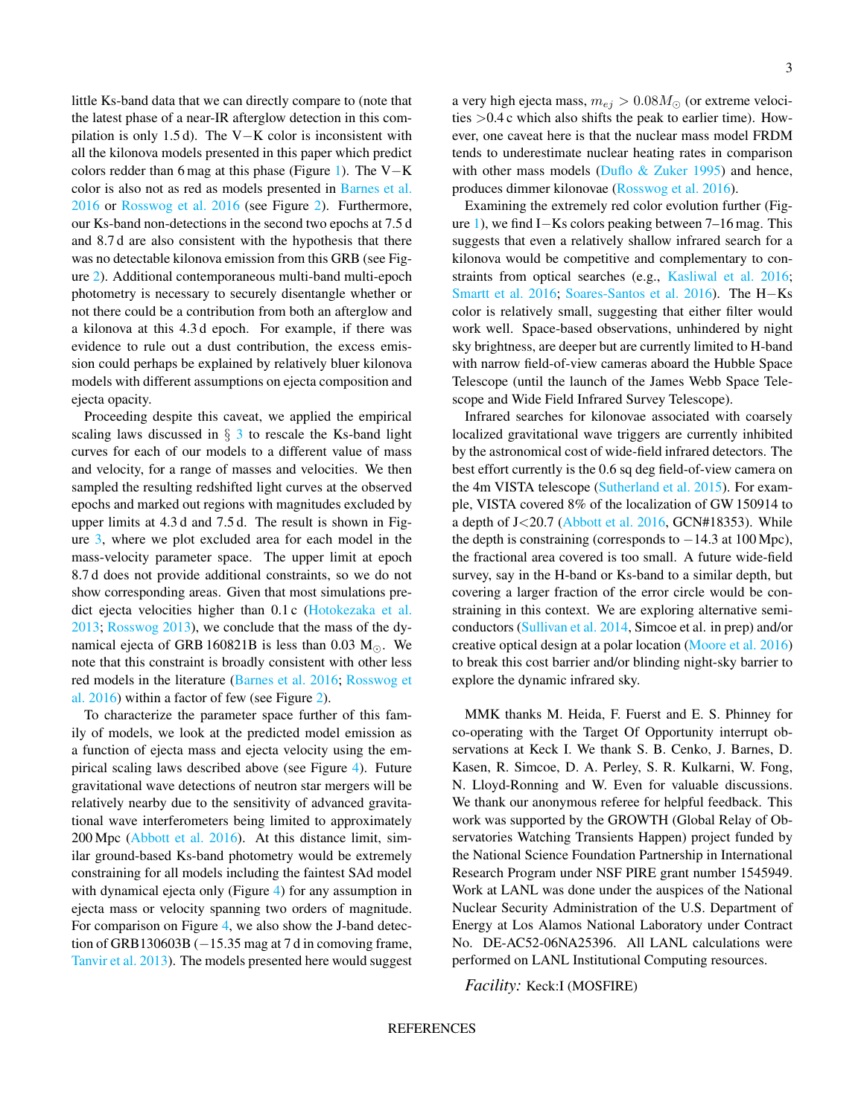little Ks-band data that we can directly compare to (note that the latest phase of a near-IR afterglow detection in this compilation is only 1.5 d). The V−K color is inconsistent with all the kilonova models presented in this paper which predict colors redder than 6 mag at this phase (Figure [1\)](#page-3-0). The V−K color is also not as red as models presented in [Barnes et al.](#page-4-5) [2016](#page-4-5) or [Rosswog et al.](#page-5-14) [2016](#page-5-14) (see Figure [2\)](#page-3-1). Furthermore, our Ks-band non-detections in the second two epochs at 7.5 d and 8.7 d are also consistent with the hypothesis that there was no detectable kilonova emission from this GRB (see Figure [2\)](#page-3-1). Additional contemporaneous multi-band multi-epoch photometry is necessary to securely disentangle whether or not there could be a contribution from both an afterglow and a kilonova at this 4.3 d epoch. For example, if there was evidence to rule out a dust contribution, the excess emission could perhaps be explained by relatively bluer kilonova models with different assumptions on ejecta composition and ejecta opacity.

Proceeding despite this caveat, we applied the empirical scaling laws discussed in  $\S$  [3](#page-1-2) to rescale the Ks-band light curves for each of our models to a different value of mass and velocity, for a range of masses and velocities. We then sampled the resulting redshifted light curves at the observed epochs and marked out regions with magnitudes excluded by upper limits at 4.3 d and 7.5 d. The result is shown in Figure [3,](#page-4-8) where we plot excluded area for each model in the mass-velocity parameter space. The upper limit at epoch 8.7 d does not provide additional constraints, so we do not show corresponding areas. Given that most simulations predict ejecta velocities higher than 0.1 c [\(Hotokezaka et al.](#page-5-30) [2013;](#page-5-30) [Rosswog](#page-5-18) [2013\)](#page-5-18), we conclude that the mass of the dynamical ejecta of GRB 160821B is less than 0.03  $M_{\odot}$ . We note that this constraint is broadly consistent with other less red models in the literature [\(Barnes et al.](#page-4-5) [2016;](#page-4-5) [Rosswog et](#page-5-14) [al.](#page-5-14) [2016\)](#page-5-14) within a factor of few (see Figure [2\)](#page-3-1).

To characterize the parameter space further of this family of models, we look at the predicted model emission as a function of ejecta mass and ejecta velocity using the empirical scaling laws described above (see Figure [4\)](#page-4-9). Future gravitational wave detections of neutron star mergers will be relatively nearby due to the sensitivity of advanced gravitational wave interferometers being limited to approximately 200 Mpc [\(Abbott et al.](#page-3-2) [2016\)](#page-3-2). At this distance limit, similar ground-based Ks-band photometry would be extremely constraining for all models including the faintest SAd model with dynamical ejecta only (Figure [4\)](#page-4-9) for any assumption in ejecta mass or velocity spanning two orders of magnitude. For comparison on Figure [4,](#page-4-9) we also show the J-band detection of GRB130603B  $(-15.35 \text{ mag at } 7 \text{ d in comoving frame})$ [Tanvir et al.](#page-5-3) [2013\)](#page-5-3). The models presented here would suggest a very high ejecta mass,  $m_{ej} > 0.08 M_{\odot}$  (or extreme velocities >0.4 c which also shifts the peak to earlier time). However, one caveat here is that the nuclear mass model FRDM tends to underestimate nuclear heating rates in comparison with other mass models (Duflo  $&$  Zuker [1995\)](#page-4-10) and hence, produces dimmer kilonovae [\(Rosswog et al.](#page-5-14) [2016\)](#page-5-14).

Examining the extremely red color evolution further (Figure [1\)](#page-3-0), we find I−Ks colors peaking between 7–16 mag. This suggests that even a relatively shallow infrared search for a kilonova would be competitive and complementary to constraints from optical searches (e.g., [Kasliwal et al.](#page-5-31) [2016;](#page-5-31) [Smartt et al.](#page-5-32) [2016;](#page-5-32) [Soares-Santos et al.](#page-5-33) [2016\)](#page-5-33). The H−Ks color is relatively small, suggesting that either filter would work well. Space-based observations, unhindered by night sky brightness, are deeper but are currently limited to H-band with narrow field-of-view cameras aboard the Hubble Space Telescope (until the launch of the James Webb Space Telescope and Wide Field Infrared Survey Telescope).

Infrared searches for kilonovae associated with coarsely localized gravitational wave triggers are currently inhibited by the astronomical cost of wide-field infrared detectors. The best effort currently is the 0.6 sq deg field-of-view camera on the 4m VISTA telescope [\(Sutherland et al.](#page-5-34) [2015\)](#page-5-34). For example, VISTA covered 8% of the localization of GW 150914 to a depth of  $J < 20.7$  [\(Abbott et al.](#page-3-3) [2016,](#page-3-3) GCN#18353). While the depth is constraining (corresponds to  $-14.3$  at  $100$  Mpc), the fractional area covered is too small. A future wide-field survey, say in the H-band or Ks-band to a similar depth, but covering a larger fraction of the error circle would be constraining in this context. We are exploring alternative semiconductors [\(Sullivan et al.](#page-5-35) [2014,](#page-5-35) Simcoe et al. in prep) and/or creative optical design at a polar location [\(Moore et al.](#page-5-36) [2016\)](#page-5-36) to break this cost barrier and/or blinding night-sky barrier to explore the dynamic infrared sky.

MMK thanks M. Heida, F. Fuerst and E. S. Phinney for co-operating with the Target Of Opportunity interrupt observations at Keck I. We thank S. B. Cenko, J. Barnes, D. Kasen, R. Simcoe, D. A. Perley, S. R. Kulkarni, W. Fong, N. Lloyd-Ronning and W. Even for valuable discussions. We thank our anonymous referee for helpful feedback. This work was supported by the GROWTH (Global Relay of Observatories Watching Transients Happen) project funded by the National Science Foundation Partnership in International Research Program under NSF PIRE grant number 1545949. Work at LANL was done under the auspices of the National Nuclear Security Administration of the U.S. Department of Energy at Los Alamos National Laboratory under Contract No. DE-AC52-06NA25396. All LANL calculations were performed on LANL Institutional Computing resources.

*Facility:* Keck:I (MOSFIRE)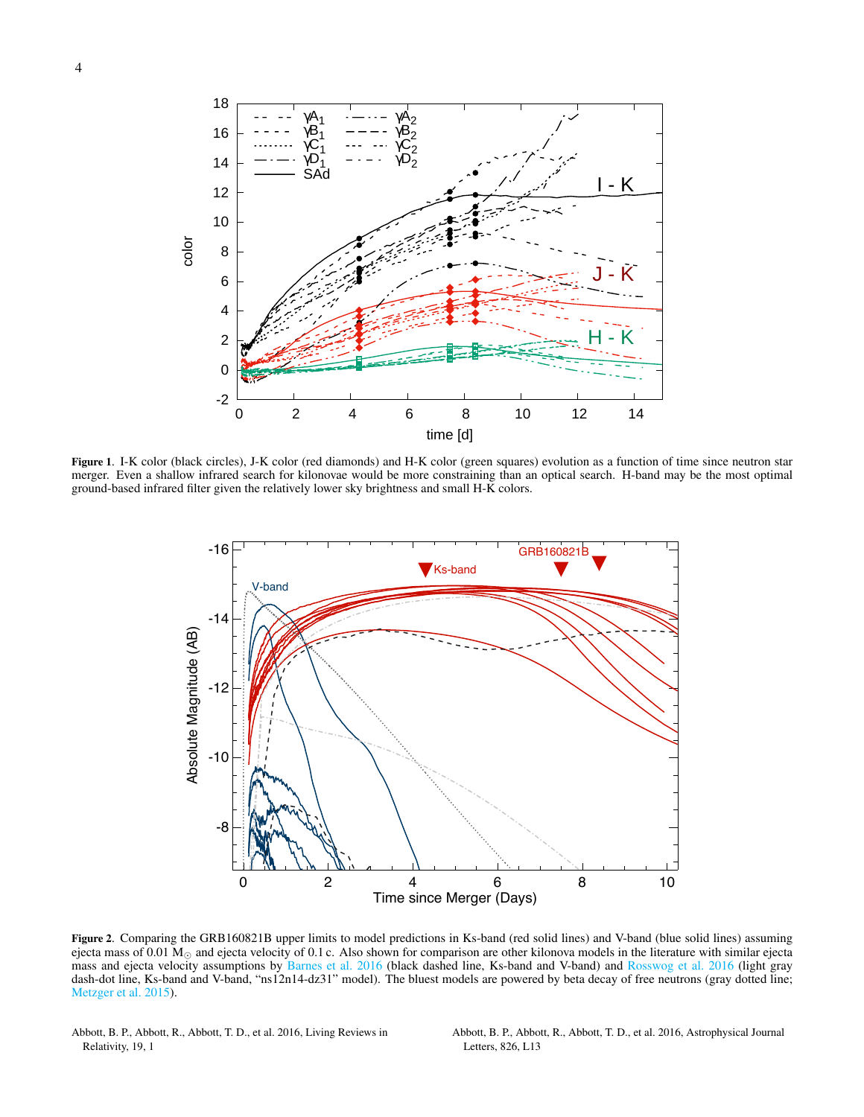

<span id="page-3-0"></span>Figure 1. I-K color (black circles), J-K color (red diamonds) and H-K color (green squares) evolution as a function of time since neutron star merger. Even a shallow infrared search for kilonovae would be more constraining than an optical search. H-band may be the most optimal ground-based infrared filter given the relatively lower sky brightness and small H-K colors.



<span id="page-3-1"></span>Figure 2. Comparing the GRB160821B upper limits to model predictions in Ks-band (red solid lines) and V-band (blue solid lines) assuming ejecta mass of 0.01  $M_{\odot}$  and ejecta velocity of 0.1 c. Also shown for comparison are other kilonova models in the literature with similar ejecta mass and ejecta velocity assumptions by [Barnes et al.](#page-4-5) [2016](#page-4-5) (black dashed line, Ks-band and V-band) and [Rosswog et al.](#page-5-14) [2016](#page-5-14) (light gray dash-dot line, Ks-band and V-band, "ns12n14-dz31" model). The bluest models are powered by beta decay of free neutrons (gray dotted line; [Metzger et al.](#page-5-37) [2015\)](#page-5-37).

<span id="page-3-2"></span>Abbott, B. P., Abbott, R., Abbott, T. D., et al. 2016, Living Reviews in Relativity, 19, 1

<span id="page-3-3"></span>Abbott, B. P., Abbott, R., Abbott, T. D., et al. 2016, Astrophysical Journal Letters, 826, L13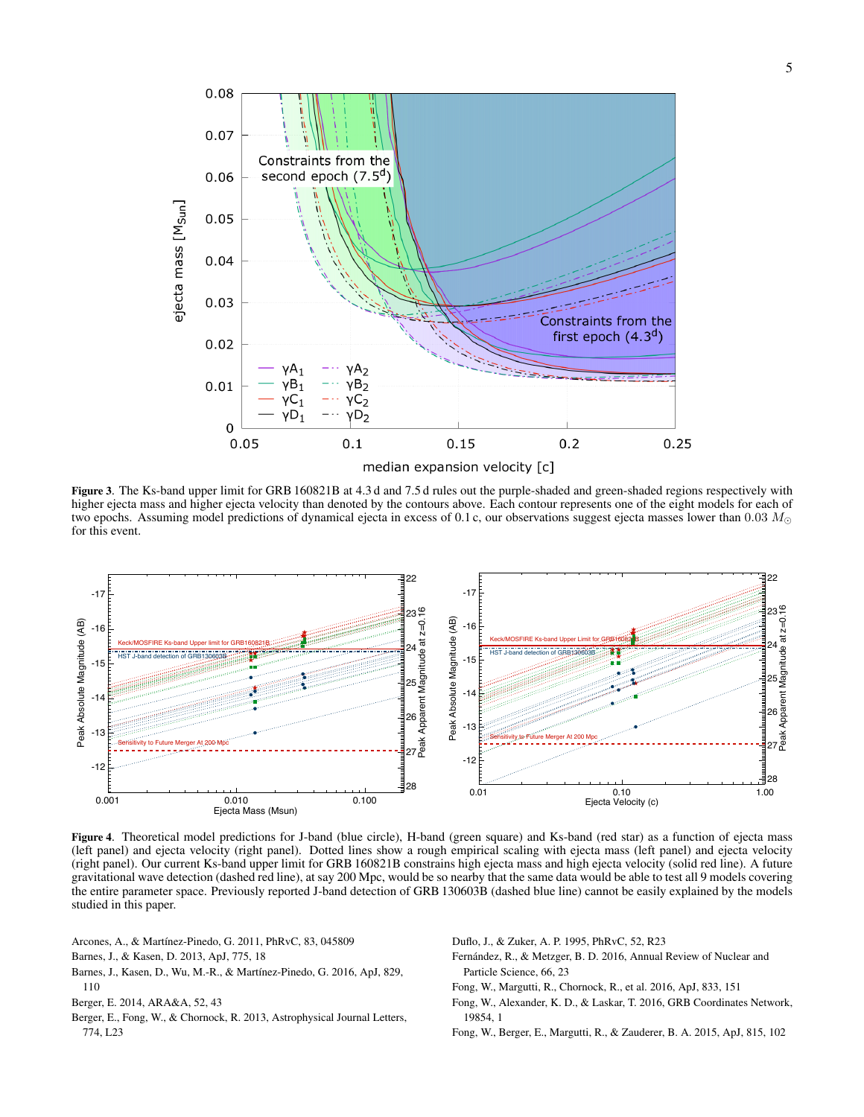

<span id="page-4-8"></span>Figure 3. The Ks-band upper limit for GRB 160821B at 4.3 d and 7.5 d rules out the purple-shaded and green-shaded regions respectively with higher ejecta mass and higher ejecta velocity than denoted by the contours above. Each contour represents one of the eight models for each of two epochs. Assuming model predictions of dynamical ejecta in excess of 0.1 c, our observations suggest ejecta masses lower than 0.03  $M_{\odot}$ for this event.



<span id="page-4-9"></span>Figure 4. Theoretical model predictions for J-band (blue circle), H-band (green square) and Ks-band (red star) as a function of ejecta mass (left panel) and ejecta velocity (right panel). Dotted lines show a rough empirical scaling with ejecta mass (left panel) and ejecta velocity (right panel). Our current Ks-band upper limit for GRB 160821B constrains high ejecta mass and high ejecta velocity (solid red line). A future gravitational wave detection (dashed red line), at say 200 Mpc, would be so nearby that the same data would be able to test all 9 models covering the entire parameter space. Previously reported J-band detection of GRB 130603B (dashed blue line) cannot be easily explained by the models studied in this paper.

- <span id="page-4-6"></span>Arcones, A., & Martínez-Pinedo, G. 2011, PhRvC, 83, 045809
- <span id="page-4-2"></span>Barnes, J., & Kasen, D. 2013, ApJ, 775, 18
- <span id="page-4-5"></span>Barnes, J., Kasen, D., Wu, M.-R., & Martínez-Pinedo, G. 2016, ApJ, 829, 110
- <span id="page-4-0"></span>Berger, E. 2014, ARA&A, 52, 43
- Berger, E., Fong, W., & Chornock, R. 2013, Astrophysical Journal Letters, 774, L23

<span id="page-4-10"></span>Duflo, J., & Zuker, A. P. 1995, PhRvC, 52, R23

- <span id="page-4-1"></span>Fernández, R., & Metzger, B. D. 2016, Annual Review of Nuclear and Particle Science, 66, 23
- <span id="page-4-3"></span>Fong, W., Margutti, R., Chornock, R., et al. 2016, ApJ, 833, 151
- <span id="page-4-4"></span>Fong, W., Alexander, K. D., & Laskar, T. 2016, GRB Coordinates Network, 19854, 1
- <span id="page-4-7"></span>Fong, W., Berger, E., Margutti, R., & Zauderer, B. A. 2015, ApJ, 815, 102